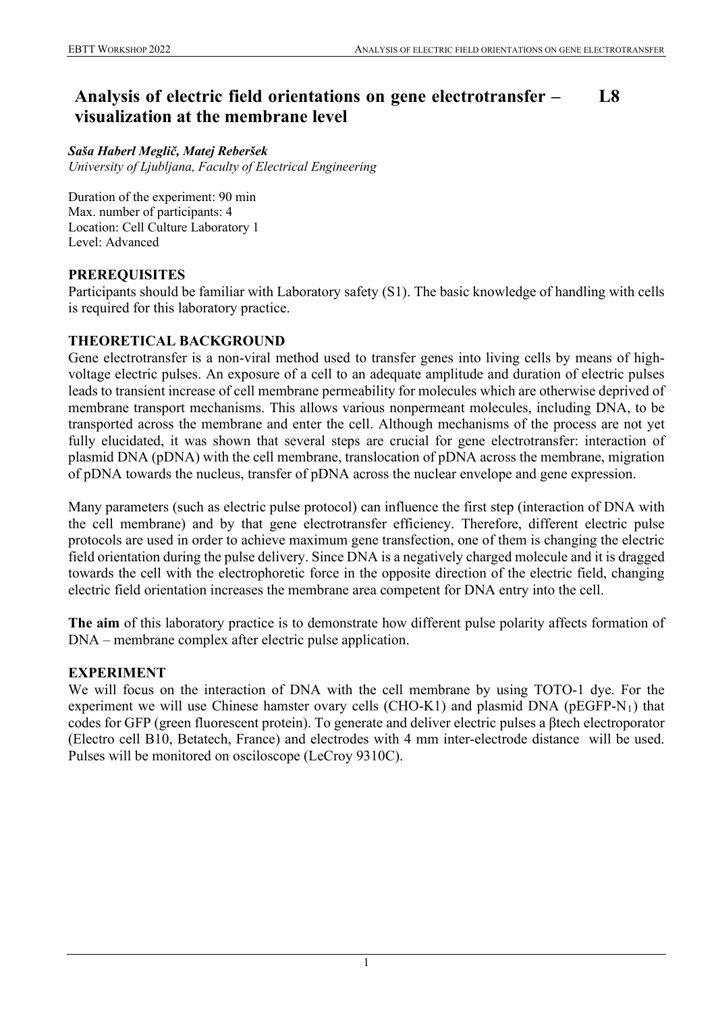#### **Analysis of electric field orientations on gene electrotransfer – visualization at the membrane level L8**

#### *Saša Haberl Meglič, Matej Reberšek*

*University of Ljubljana, Faculty of Electrical Engineering*

Duration of the experiment: 90 min Max. number of participants: 4 Location: Cell Culture Laboratory 1 Level: Advanced

# **PREREQUISITES**

Participants should be familiar with Laboratory safety (S1). The basic knowledge of handling with cells is required for this laboratory practice.

## **THEORETICAL BACKGROUND**

Gene electrotransfer is a non-viral method used to transfer genes into living cells by means of highvoltage electric pulses. An exposure of a cell to an adequate amplitude and duration of electric pulses leads to transient increase of cell membrane permeability for molecules which are otherwise deprived of membrane transport mechanisms. This allows various nonpermeant molecules, including DNA, to be transported across the membrane and enter the cell. Although mechanisms of the process are not yet fully elucidated, it was shown that several steps are crucial for gene electrotransfer: interaction of plasmid DNA (pDNA) with the cell membrane, translocation of pDNA across the membrane, migration of pDNA towards the nucleus, transfer of pDNA across the nuclear envelope and gene expression.

Many parameters (such as electric pulse protocol) can influence the first step (interaction of DNA with the cell membrane) and by that gene electrotransfer efficiency. Therefore, different electric pulse protocols are used in order to achieve maximum gene transfection, one of them is changing the electric field orientation during the pulse delivery. Since DNA is a negatively charged molecule and it is dragged towards the cell with the electrophoretic force in the opposite direction of the electric field, changing electric field orientation increases the membrane area competent for DNA entry into the cell.

**The aim** of this laboratory practice is to demonstrate how different pulse polarity affects formation of DNA – membrane complex after electric pulse application.

## **EXPERIMENT**

We will focus on the interaction of DNA with the cell membrane by using TOTO-1 dye. For the experiment we will use Chinese hamster ovary cells (CHO-K1) and plasmid DNA ( $pEGFP-N_1$ ) that codes for GFP (green fluorescent protein). To generate and deliver electric pulses a βtech electroporator (Electro cell B10, Betatech, France) and electrodes with 4 mm inter-electrode distance will be used. Pulses will be monitored on osciloscope (LeCroy 9310C).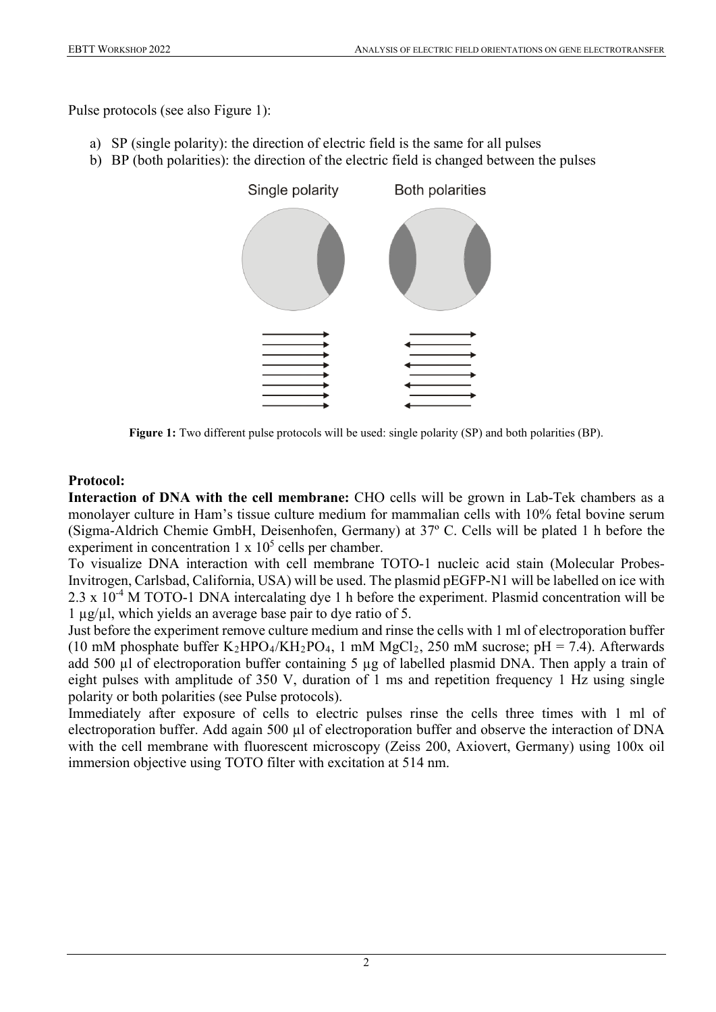Pulse protocols (see also Figure 1):

- a) SP (single polarity): the direction of electric field is the same for all pulses
- b) BP (both polarities): the direction of the electric field is changed between the pulses



**Figure 1:** Two different pulse protocols will be used: single polarity (SP) and both polarities (BP).

## **Protocol:**

**Interaction of DNA with the cell membrane:** CHO cells will be grown in Lab-Tek chambers as a monolayer culture in Ham's tissue culture medium for mammalian cells with 10% fetal bovine serum (Sigma-Aldrich Chemie GmbH, Deisenhofen, Germany) at 37º C. Cells will be plated 1 h before the experiment in concentration  $1 \times 10^5$  cells per chamber.

To visualize DNA interaction with cell membrane TOTO-1 nucleic acid stain (Molecular Probes-Invitrogen, Carlsbad, California, USA) will be used. The plasmid pEGFP-N1 will be labelled on ice with 2.3 x 10<sup>-4</sup> M TOTO-1 DNA intercalating dye 1 h before the experiment. Plasmid concentration will be 1 µg/µl, which yields an average base pair to dye ratio of 5.

Just before the experiment remove culture medium and rinse the cells with 1 ml of electroporation buffer (10 mM phosphate buffer  $K_2HPO_4/KH_2PO_4$ , 1 mM  $MgCl_2$ , 250 mM sucrose; pH = 7.4). Afterwards add 500 µl of electroporation buffer containing 5 µg of labelled plasmid DNA. Then apply a train of eight pulses with amplitude of 350 V, duration of 1 ms and repetition frequency 1 Hz using single polarity or both polarities (see Pulse protocols).

Immediately after exposure of cells to electric pulses rinse the cells three times with 1 ml of electroporation buffer. Add again 500 µl of electroporation buffer and observe the interaction of DNA with the cell membrane with fluorescent microscopy (Zeiss 200, Axiovert, Germany) using 100x oil immersion objective using TOTO filter with excitation at 514 nm.